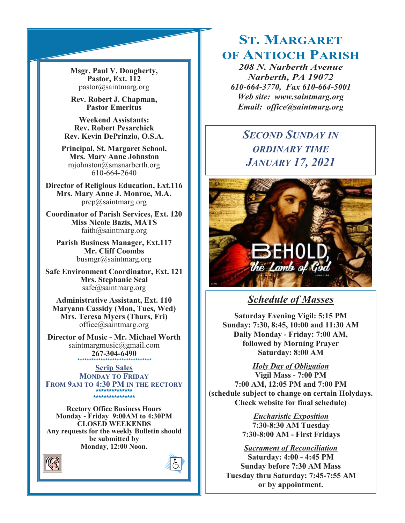**Msgr. Paul V. Dougherty, Pastor, Ext. 112** pastor@saintmarg.org

**Rev. Robert J. Chapman, Pastor Emeritus**

**Weekend Assistants: Rev. Robert Pesarchick Rev. Kevin DePrinzio, O.S.A.**

**Principal, St. Margaret School, Mrs. Mary Anne Johnston**  mjohnston@smsnarberth.org 610-664-2640

**Director of Religious Education, Ext.116 Mrs. Mary Anne J. Monroe, M.A.** prep@saintmarg.org

**Coordinator of Parish Services, Ext. 120 Miss Nicole Bazis, MATS** faith@saintmarg.org

**Parish Business Manager, Ext.117 Mr. Cliff Coombs** busmgr@saintmarg.org

**Safe Environment Coordinator, Ext. 121 Mrs. Stephanie Seal** safe@saintmarg.org

**Administrative Assistant, Ext. 110 Maryann Cassidy (Mon, Tues, Wed) Mrs. Teresa Myers (Thurs, Fri)** office@saintmarg.org

**Director of Music - Mr. Michael Worth** saintmargmusic@gmail.com **267-304-6490** *\*\*\*\*\*\*\*\*\*\*\*\*\*\*\*\*\*\*\*\*\*\*\*\*\*\*\*\*\*\*\*\**

**Scrip Sales MONDAY TO FRIDAY FROM 9AM TO 4:30 PM IN THE RECTORY \*\*\*\*\*\*\*\*\*\*\*\*\*\* \*\*\*\*\*\*\*\*\*\*\*\*\*\*\*\*** 

**Rectory Office Business Hours Monday - Friday 9:00AM to 4:30PM CLOSED WEEKENDS Any requests for the weekly Bulletin should be submitted by Monday, 12:00 Noon.** 

Å



# **ST. MARGARET OF ANTIOCH PARISH**

*208 N. Narberth Avenue Narberth, PA 19072 610-664-3770, Fax 610-664-5001 Web site: www.saintmarg.org Email: office@saintmarg.org*

# *SECOND SUNDAY IN ORDINARY TIME JANUARY 17, 2021*



## *Schedule of Masses*

**Saturday Evening Vigil: 5:15 PM Sunday: 7:30, 8:45, 10:00 and 11:30 AM Daily Monday - Friday: 7:00 AM, followed by Morning Prayer Saturday: 8:00 AM**

*Holy Day of Obligation*

**Vigil Mass - 7:00 PM 7:00 AM, 12:05 PM and 7:00 PM (schedule subject to change on certain Holydays. Check website for final schedule)**

> *Eucharistic Exposition*  **7:30-8:30 AM Tuesday 7:30-8:00 AM - First Fridays**

*Sacrament of Reconciliation* **Saturday: 4:00 - 4:45 PM Sunday before 7:30 AM Mass Tuesday thru Saturday: 7:45-7:55 AM or by appointment.**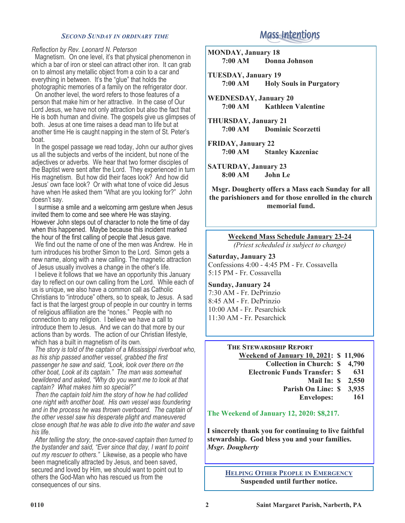#### *SECOND SUNDAY IN ORDINARY TIME*

#### *Reflection by Rev. Leonard N. Peterson*

 Magnetism. On one level, it's that physical phenomenon in which a bar of iron or steel can attract other iron. It can grab on to almost any metallic object from a coin to a car and everything in between. It's the "glue" that holds the photographic memories of a family on the refrigerator door.

 On another level, the word refers to those features of a person that make him or her attractive. In the case of Our Lord Jesus, we have not only attraction but also the fact that He is both human and divine. The gospels give us glimpses of both. Jesus at one time raises a dead man to life but at another time He is caught napping in the stern of St. Peter's boat.

 In the gospel passage we read today, John our author gives us all the subjects and verbs of the incident, but none of the adjectives or adverbs. We hear that two former disciples of the Baptist were sent after the Lord. They experienced in turn His magnetism. But how did their faces look? And how did Jesus' own face look? Or with what tone of voice did Jesus have when He asked them "What are you looking for?" John doesn't say.

 I surmise a smile and a welcoming arm gesture when Jesus invited them to come and see where He was staying. However John steps out of character to note the time of day when this happened. Maybe because this incident marked the hour of the first calling of people that Jesus gave.

 We find out the name of one of the men was Andrew. He in turn introduces his brother Simon to the Lord. Simon gets a new name, along with a new calling. The magnetic attraction of Jesus usually involves a change in the other's life.

 I believe it follows that we have an opportunity this January day to reflect on our own calling from the Lord. While each of us is unique, we also have a common call as Catholic Christians to "introduce" others, so to speak, to Jesus. A sad fact is that the largest group of people in our country in terms of religious affiliation are the "nones." People with no connection to any religion. I believe we have a call to introduce them to Jesus. And we can do that more by our actions than by words. The action of our Christian lifestyle, which has a built in magnetism of its own.

 *The story is told of the captain of a Mississippi riverboat who, as his ship passed another vessel, grabbed the first passenger he saw and said, "Look, look over there on the other boat, Look at its captain." The man was somewhat bewildered and asked, "Why do you want me to look at that captain? What makes him so special?"*

 *Then the captain told him the story of how he had collided one night with another boat. His own vessel was foundering and in the process he was thrown overboard. The captain of the other vessel saw his desperate plight and maneuvered close enough that he was able to dive into the water and save his life.*

 *After telling the story, the once-saved captain then turned to the bystander and said, "Ever since that day, I want to point out my rescuer to others."* Likewise, as a people who have been magnetically attracted by Jesus, and been saved, secured and loved by Him, we should want to point out to others the God-Man who has rescued us from the consequences of our sins.

# **Mass Intentions**

**MONDAY, January 18 7:00 AM Donna Johnson**

**TUESDAY, January 19 7:00 AM Holy Souls in Purgatory**

**WEDNESDAY, January 20 7:00 AM Kathleen Valentine**

**THURSDAY, January 21 7:00 AM Dominic Scorzetti**

**FRIDAY, January 22 7:00 AM Stanley Kazeniac**

**SATURDAY, January 23 8:00 AM John Le**

**Msgr. Dougherty offers a Mass each Sunday for all the parishioners and for those enrolled in the church memorial fund.**

# **Weekend Mass Schedule January 23-24**

*(Priest scheduled is subject to change)*

**Saturday, January 23** Confessions 4:00 - 4:45 PM - Fr. Cossavella 5:15 PM - Fr. Cossavella

**Sunday, January 24** 7:30 AM - Fr. DePrinzio 8:45 AM - Fr. DePrinzio 10:00 AM - Fr. Pesarchick 11:30 AM - Fr. Pesarchick

## **THE STEWARDSHIP REPORT**

**Weekend of January 10, 2021: \$ 11,906 Collection in Church: Electronic Funds Transfer: Mail In: Parish On Line: \$ 4,790 \$ 631 \$ 2,550 \$ 3,935**

**Envelopes: 161**

**The Weekend of January 12, 2020: \$8,217.**

**I sincerely thank you for continuing to live faithful stewardship. God bless you and your families.** *Msgr. Dougherty*

## **HELPING OTHER PEOPLE IN EMERGENCY Suspended until further notice.**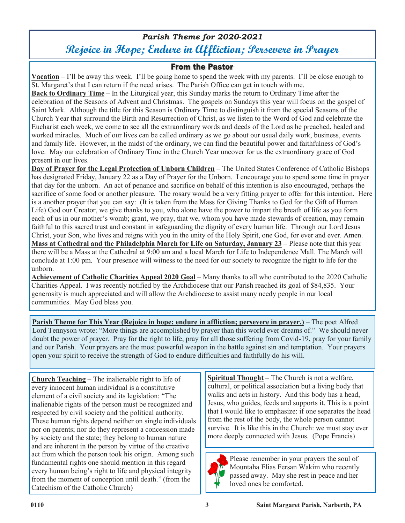# *Parish Theme for 2020-2021* **Rejoice in Hope; Endure in Affliction; Persevere in Prayer**

## **From the Pastor**

**Vacation** – I'll be away this week. I'll be going home to spend the week with my parents. I'll be close enough to St. Margaret's that I can return if the need arises. The Parish Office can get in touch with me.

**Back to Ordinary Time** – In the Liturgical year, this Sunday marks the return to Ordinary Time after the celebration of the Seasons of Advent and Christmas. The gospels on Sundays this year will focus on the gospel of Saint Mark. Although the title for this Season is Ordinary Time to distinguish it from the special Seasons of the Church Year that surround the Birth and Resurrection of Christ, as we listen to the Word of God and celebrate the Eucharist each week, we come to see all the extraordinary words and deeds of the Lord as he preached, healed and worked miracles. Much of our lives can be called ordinary as we go about our usual daily work, business, events and family life. However, in the midst of the ordinary, we can find the beautiful power and faithfulness of God's love. May our celebration of Ordinary Time in the Church Year uncover for us the extraordinary grace of God present in our lives.

**Day of Prayer for the Legal Protection of Unborn Children** – The United States Conference of Catholic Bishops has designated Friday, January 22 as a Day of Prayer for the Unborn. I encourage you to spend some time in prayer that day for the unborn. An act of penance and sacrifice on behalf of this intention is also encouraged, perhaps the sacrifice of some food or another pleasure. The rosary would be a very fitting prayer to offer for this intention. Here is a another prayer that you can say: (It is taken from the Mass for Giving Thanks to God for the Gift of Human Life) God our Creator, we give thanks to you, who alone have the power to impart the breath of life as you form each of us in our mother's womb; grant, we pray, that we, whom you have made stewards of creation, may remain faithful to this sacred trust and constant in safeguarding the dignity of every human life. Through our Lord Jesus Christ, your Son, who lives and reigns with you in the unity of the Holy Spirit, one God, for ever and ever. Amen. **Mass at Cathedral and the Philadelphia March for Life on Saturday, January 23** – Please note that this year there will be a Mass at the Cathedral at 9:00 am and a local March for Life to Independence Mall. The March will conclude at 1:00 pm. Your presence will witness to the need for our society to recognize the right to life for the unborn.

**Achievement of Catholic Charities Appeal 2020 Goal** – Many thanks to all who contributed to the 2020 Catholic Charities Appeal. I was recently notified by the Archdiocese that our Parish reached its goal of \$84,835. Your generosity is much appreciated and will allow the Archdiocese to assist many needy people in our local communities. May God bless you.

**Parish Theme for This Year (Rejoice in hope; endure in affliction; persevere in prayer.)** – The poet Alfred Lord Tennyson wrote: "More things are accomplished by prayer than this world ever dreams of." We should never doubt the power of prayer. Pray for the right to life, pray for all those suffering from Covid-19, pray for your family and our Parish. Your prayers are the most powerful weapon in the battle against sin and temptation. Your prayers open your spirit to receive the strength of God to endure difficulties and faithfully do his will.

**Church Teaching** – The inalienable right to life of every innocent human individual is a constitutive element of a civil society and its legislation: "The inalienable rights of the person must be recognized and respected by civil society and the political authority. These human rights depend neither on single individuals nor on parents; nor do they represent a concession made by society and the state; they belong to human nature and are inherent in the person by virtue of the creative act from which the person took his origin. Among such fundamental rights one should mention in this regard every human being's right to life and physical integrity from the moment of conception until death." (from the Catechism of the Catholic Church)

**Spiritual Thought** – The Church is not a welfare, cultural, or political association but a living body that walks and acts in history. And this body has a head, Jesus, who guides, feeds and supports it. This is a point that I would like to emphasize: if one separates the head from the rest of the body, the whole person cannot survive. It is like this in the Church: we must stay ever more deeply connected with Jesus. (Pope Francis)



Please remember in your prayers the soul of Mountaha Elias Fersan Wakim who recently passed away. May she rest in peace and her loved ones be comforted.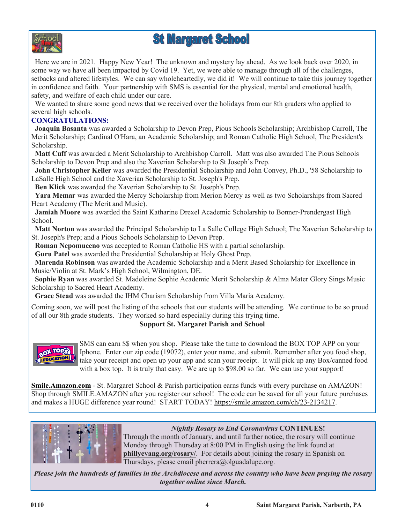

# **St Margaret School**

Here we are in 2021. Happy New Year! The unknown and mystery lay ahead. As we look back over 2020, in some way we have all been impacted by Covid 19. Yet, we were able to manage through all of the challenges, setbacks and altered lifestyles. We can say wholeheartedly, we did it! We will continue to take this journey together in confidence and faith. Your partnership with SMS is essential for the physical, mental and emotional health, safety, and welfare of each child under our care.

We wanted to share some good news that we received over the holidays from our 8th graders who applied to several high schools.

## **CONGRATULATIONS:**

 **Joaquin Basanta** was awarded a Scholarship to Devon Prep, Pious Schools Scholarship; Archbishop Carroll, The Merit Scholarship; Cardinal O'Hara, an Academic Scholarship; and Roman Catholic High School, The President's Scholarship.

 **Matt Cuff** was awarded a Merit Scholarship to Archbishop Carroll. Matt was also awarded The Pious Schools Scholarship to Devon Prep and also the Xaverian Scholarship to St Joseph's Prep.

 **John Christopher Keller** was awarded the Presidential Scholarship and John Convey, Ph.D., '58 Scholarship to LaSalle High School and the Xaverian Scholarship to St. Joseph's Prep.

**Ben Klick** was awarded the Xaverian Scholarship to St. Joseph's Prep.

 **Yara Memar** was awarded the Mercy Scholarship from Merion Mercy as well as two Scholarships from Sacred Heart Academy (The Merit and Music).

 **Jamiah Moore** was awarded the Saint Katharine Drexel Academic Scholarship to Bonner-Prendergast High School.

 **Matt Norton** was awarded the Principal Scholarship to La Salle College High School; The Xaverian Scholarship to St. Joseph's Prep; and a Pious Schools Scholarship to Devon Prep.

**Roman Nepomuceno** was accepted to Roman Catholic HS with a partial scholarship.

**Guru Patel** was awarded the Presidential Scholarship at Holy Ghost Prep.

 **Marenda Robinson** was awarded the Academic Scholarship and a Merit Based Scholarship for Excellence in Music/Violin at St. Mark's High School, Wilmington, DE.

 **Sophie Ryan** was awarded St. Madeleine Sophie Academic Merit Scholarship & Alma Mater Glory Sings Music Scholarship to Sacred Heart Academy.

**Grace Stead** was awarded the IHM Charism Scholarship from Villa Maria Academy.

Coming soon, we will post the listing of the schools that our students will be attending. We continue to be so proud of all our 8th grade students. They worked so hard especially during this trying time.

## **Support St. Margaret Parish and School**



SMS can earn \$\$ when you shop. Please take the time to download the BOX TOP APP on your Iphone. Enter our zip code (19072), enter your name, and submit. Remember after you food shop, take your receipt and open up your app and scan your receipt. It will pick up any Box/canned food with a box top. It is truly that easy. We are up to \$98.00 so far. We can use your support!

**[Smile.Amazon.com](http://smile.amazon.com/)** - St. Margaret School & Parish participation earns funds with every purchase on AMAZON! Shop through SMILE.AMAZON after you register our school! The code can be saved for all your future purchases and makes a HUGE difference year round! START TODAY! [https://smile.amazon.com/ch/23](https://smile.amazon.com/ch/23-2134217)-2134217.



## *Nightly Rosary to End Coronavirus* **CONTINUES!**

Through the month of January, and until further notice, the rosary will continue Monday through Thursday at 8:00 PM in English using the link found at **phillyevang.org/rosary/**. For details about joining the rosary in Spanish on Thursdays, please email pherrera@olguadalupe.org.

*Please join the hundreds of families in the Archdiocese and across the country who have been praying the rosary together online since March.*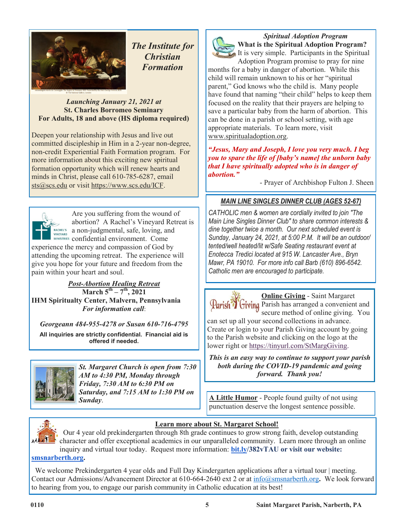

*The Institute for Christian Formation*

## *Launching January 21, 2021 at* **St. Charles Borromeo Seminary For Adults, 18 and above (HS diploma required)**

Deepen your relationship with Jesus and live out committed discipleship in Him in a 2-year non-degree, non-credit Experiential Faith Formation program. For more information about this exciting new spiritual formation opportunity which will renew hearts and minds in Christ, please call 610-785-6287, email sts@scs.edu or visit https://www.scs.edu/ICF.



Are you suffering from the wound of abortion? A Rachel's Vineyard Retreat is RACHEL'S a non-judgmental, safe, loving, and MINISTRIES confidential environment. Come

experience the mercy and compassion of God by attending the upcoming retreat. The experience will give you hope for your future and freedom from the pain within your heart and soul.

*Post-Abortion Healing Retreat* **March 5th – 7 th, 2021 IHM Spiritualty Center, Malvern, Pennsylvania** *For information call*:

*Georgeann 484-955-4278 or Susan 610-716-4795*

**All inquiries are strictly confidential. Financial aid is offered if needed.**



*St. Margaret Church is open from 7:30 AM to 4:30 PM, Monday through Friday, 7:30 AM to 6:30 PM on Saturday, and 7:15 AM to 1:30 PM on* 



*Spiritual Adoption Program* **What is the Spiritual Adoption Program?**  It is very simple. Participants in the Spiritual

Adoption Program promise to pray for nine months for a baby in danger of abortion. While this child will remain unknown to his or her "spiritual parent," God knows who the child is. Many people have found that naming "their child" helps to keep them focused on the reality that their prayers are helping to save a particular baby from the harm of abortion. This can be done in a parish or school setting, with age appropriate materials. To learn more, visit www.spiritualadoption.org.

*"Jesus, Mary and Joseph, I love you very much. I beg you to spare the life of [baby's name] the unborn baby that I have spiritually adopted who is in danger of abortion."*

- Prayer of Archbishop Fulton J. Sheen

## *MAIN LINE SINGLES DINNER CLUB (AGES 52-67)*

*CATHOLIC men & women are cordially invited to join "The Main Line Singles Dinner Club" to share common interests & dine together twice a month. Our next scheduled event is Sunday, January 24, 2021, at 5:00 P.M. It will be an outdoor/ tented/well heated/lit w/Safe Seating restaurant event at Enotecca Tredici located at 915 W. Lancaster Ave., Bryn Mawr, PA 19010. For more info call Barb (610) 896-6542. Catholic men are encouraged to participate.*

**Online Giving** - Saint Margaret Parish<sup>7</sup> Giving Parish has arranged a convenient and secure method of online giving. You

can set up all your second collections in advance. Create or login to your Parish Giving account by going to the Parish website and clicking on the logo at the lower right or [https://tinyurl.com/StMargGiving.](https://tinyurl.com/StMargGiving)

*This is an easy way to continue to support your parish both during the COVID-19 pandemic and going forward. Thank you!*

**Sunday**. **Sunday**. punctuation deserve the longest sentence possible.



## **Learn more about St. Margaret School!**

 Our 4 year old prekindergarten through 8th grade continues to grow strong faith, develop outstanding character and offer exceptional academics in our unparalleled community. Learn more through an online inquiry and virtual tour today. Request more information: **[bit.ly/3](http://bit.ly/)82vTAU or visit our website:** 

**[smsnarberth.org.](http://smsnarberth.org/)**

We welcome Prekindergarten 4 year olds and Full Day Kindergarten applications after a virtual tour | meeting. Contact our Admissions/Advancement Director at 610-664-2640 ext 2 or at [info@smsnarberth.org](mailto:info@smsnarberth.org)**.** We look forward to hearing from you, to engage our parish community in Catholic education at its best!